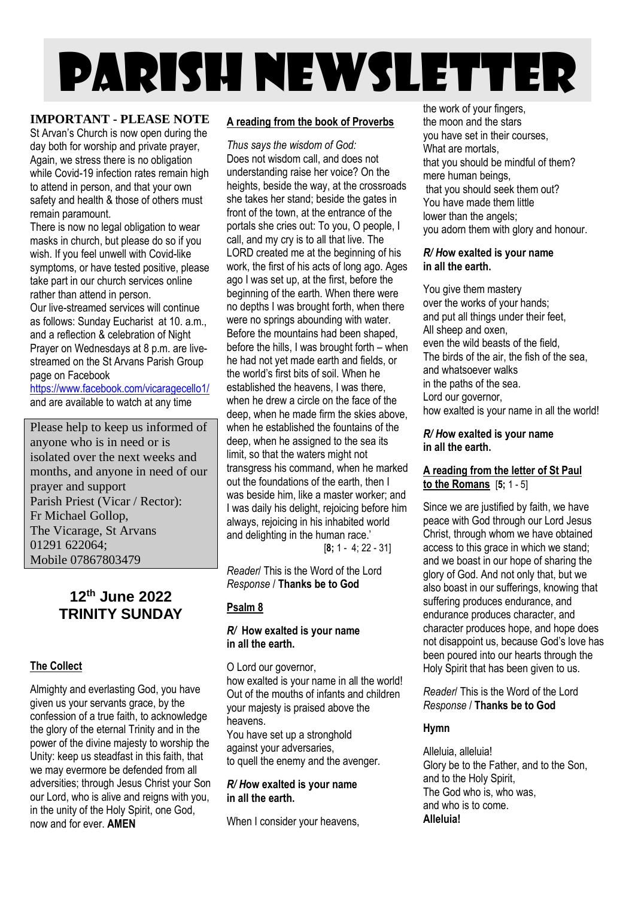# PARISH NEWSLETTER

## **IMPORTANT - PLEASE NOTE**

St Arvan's Church is now open during the day both for worship and private prayer, Again, we stress there is no obligation while Covid-19 infection rates remain high to attend in person, and that your own safety and health & those of others must remain paramount.

There is now no legal obligation to wear masks in church, but please do so if you wish. If you feel unwell with Covid-like symptoms, or have tested positive, please take part in our church services online rather than attend in person.

Our live-streamed services will continue as follows: Sunday Eucharist at 10. a.m., and a reflection & celebration of Night Prayer on Wednesdays at 8 p.m. are livestreamed on the St Arvans Parish Group page on Facebook

<https://www.facebook.com/vicaragecello1/> and are available to watch at any time

Please help to keep us informed of anyone who is in need or is isolated over the next weeks and months, and anyone in need of our prayer and support Parish Priest (Vicar / Rector): Fr Michael Gollop, The Vicarage, St Arvans 01291 622064; Mobile 07867803479

## **12th June 2022 TRINITY SUNDAY**

## **The Collect**

Almighty and everlasting God, you have given us your servants grace, by the confession of a true faith, to acknowledge the glory of the eternal Trinity and in the power of the divine majesty to worship the Unity: keep us steadfast in this faith, that we may evermore be defended from all adversities; through Jesus Christ your Son our Lord, who is alive and reigns with you, in the unity of the Holy Spirit, one God, now and for ever. **AMEN**

## **A reading from the book of Proverbs**

*Thus says the wisdom of God:* Does not wisdom call, and does not understanding raise her voice? On the heights, beside the way, at the crossroads she takes her stand; beside the gates in front of the town, at the entrance of the portals she cries out: To you, O people, I call, and my cry is to all that live. The LORD created me at the beginning of his work, the first of his acts of long ago. Ages ago I was set up, at the first, before the beginning of the earth. When there were no depths I was brought forth, when there were no springs abounding with water. Before the mountains had been shaped, before the hills, I was brought forth – when he had not yet made earth and fields, or the world's first bits of soil. When he established the heavens, I was there, when he drew a circle on the face of the deep, when he made firm the skies above, when he established the fountains of the deep, when he assigned to the sea its limit, so that the waters might not transgress his command, when he marked out the foundations of the earth, then I was beside him, like a master worker; and I was daily his delight, rejoicing before him always, rejoicing in his inhabited world and delighting in the human race.' [**8;** 1 - 4; 22 - 31]

*Reader*/ This is the Word of the Lord *Response* / **Thanks be to God**

## **Psalm 8**

#### *R/* **How exalted is your name in all the earth.**

O Lord our governor, how exalted is your name in all the world! Out of the mouths of infants and children your majesty is praised above the heavens.

You have set up a stronghold against your adversaries, to quell the enemy and the avenger.

#### *R/ H***ow exalted is your name in all the earth.**

When I consider your heavens,

the work of your fingers, the moon and the stars you have set in their courses, What are mortals, that you should be mindful of them? mere human beings, that you should seek them out? You have made them little lower than the angels; you adorn them with glory and honour.

#### *R/ H***ow exalted is your name in all the earth.**

You give them mastery over the works of your hands; and put all things under their feet, All sheep and oxen, even the wild beasts of the field, The birds of the air, the fish of the sea, and whatsoever walks in the paths of the sea. Lord our governor, how exalted is your name in all the world!

#### *R/ H***ow exalted is your name in all the earth.**

## **A reading from the letter of St Paul to the Romans** [**5;** 1 - 5]

Since we are justified by faith, we have peace with God through our Lord Jesus Christ, through whom we have obtained access to this grace in which we stand; and we boast in our hope of sharing the glory of God. And not only that, but we also boast in our sufferings, knowing that suffering produces endurance, and endurance produces character, and character produces hope, and hope does not disappoint us, because God's love has been poured into our hearts through the Holy Spirit that has been given to us.

*Reader*/ This is the Word of the Lord *Response* / **Thanks be to God**

#### **Hymn**

Alleluia, alleluia! Glory be to the Father, and to the Son, and to the Holy Spirit, The God who is, who was, and who is to come. **Alleluia!**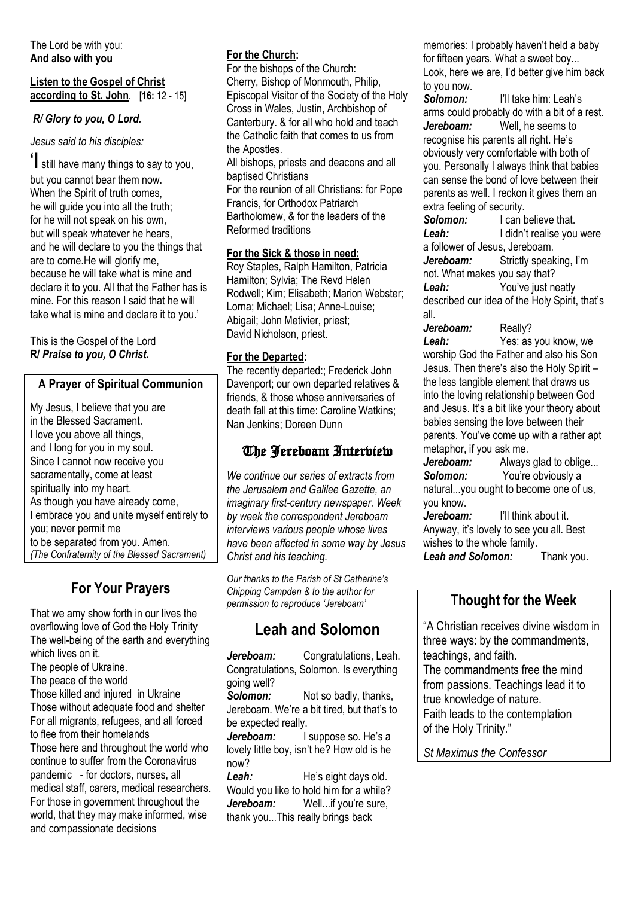#### The Lord be with you: **And also with you**

#### **Listen to the Gospel of Christ according to St. John**. [**16:** 12 - 15]

## *R/ Glory to you, O Lord.*

*Jesus said to his disciples:*

'**I** still have many things to say to you, but you cannot bear them now. When the Spirit of truth comes. he will guide you into all the truth; for he will not speak on his own, but will speak whatever he hears, and he will declare to you the things that are to come.He will glorify me, because he will take what is mine and declare it to you. All that the Father has is mine. For this reason I said that he will take what is mine and declare it to you.'

This is the Gospel of the Lord **R/** *Praise to you, O Christ.*

## **A Prayer of Spiritual Communion**

My Jesus, I believe that you are in the Blessed Sacrament. I love you above all things, and I long for you in my soul. Since I cannot now receive you sacramentally, come at least spiritually into my heart. As though you have already come, I embrace you and unite myself entirely to you; never permit me to be separated from you. Amen. *(The Confraternity of the Blessed Sacrament)*

## **For Your Prayers**

That we amy show forth in our lives the overflowing love of God the Holy Trinity The well-being of the earth and everything which lives on it.

The people of Ukraine.

The peace of the world

Those killed and injured in Ukraine Those without adequate food and shelter For all migrants, refugees, and all forced to flee from their homelands Those here and throughout the world who continue to suffer from the Coronavirus pandemic - for doctors, nurses, all medical staff, carers, medical researchers. For those in government throughout the world, that they may make informed, wise and compassionate decisions

## **For the Church:**

For the bishops of the Church: Cherry, Bishop of Monmouth, Philip, Episcopal Visitor of the Society of the Holy Cross in Wales, Justin, Archbishop of Canterbury. & for all who hold and teach the Catholic faith that comes to us from the Apostles.

All bishops, priests and deacons and all baptised Christians For the reunion of all Christians: for Pope Francis, for Orthodox Patriarch Bartholomew, & for the leaders of the Reformed traditions

## **For the Sick & those in need:**

Roy Staples, Ralph Hamilton, Patricia Hamilton; Sylvia; The Revd Helen Rodwell; Kim; Elisabeth; Marion Webster; Lorna; Michael; Lisa; Anne-Louise; Abigail; John Metivier, priest; David Nicholson, priest.

## **For the Departed:**

The recently departed:; Frederick John Davenport; our own departed relatives & friends, & those whose anniversaries of death fall at this time: Caroline Watkins; Nan Jenkins; Doreen Dunn

## The Jereboam Interview

*We continue our series of extracts from the Jerusalem and Galilee Gazette, an imaginary first-century newspaper. Week by week the correspondent Jereboam interviews various people whose lives have been affected in some way by Jesus Christ and his teaching.*

*Our thanks to the Parish of St Catharine's Chipping Campden & to the author for permission to reproduce 'Jereboam'*

## **Leah and Solomon**

*Jereboam:* Congratulations, Leah. Congratulations, Solomon. Is everything going well?

*Solomon:* Not so badly, thanks, Jereboam. We're a bit tired, but that's to be expected really.

*Jereboam:* I suppose so. He's a lovely little boy, isn't he? How old is he now?

*Leah:* He's eight days old. Would you like to hold him for a while? *Jereboam:* Well...if you're sure, thank you...This really brings back

memories: I probably haven't held a baby for fifteen years. What a sweet boy... Look, here we are, I'd better give him back to you now.<br>Solomon:

*Solomon:* I'll take him: Leah's arms could probably do with a bit of a rest. *Jereboam:* Well, he seems to recognise his parents all right. He's obviously very comfortable with both of you. Personally I always think that babies can sense the bond of love between their parents as well. I reckon it gives them an extra feeling of security.

**Solomon:** I can believe that. Leah: I didn't realise you were a follower of Jesus, Jereboam. *Jereboam:* Strictly speaking, I'm not. What makes you say that? *Leah:* You've just neatly described our idea of the Holy Spirit, that's all.

Jereboam: Really? *Leah:* Yes: as you know, we worship God the Father and also his Son Jesus. Then there's also the Holy Spirit – the less tangible element that draws us into the loving relationship between God and Jesus. It's a bit like your theory about babies sensing the love between their parents. You've come up with a rather apt metaphor, if you ask me.<br> **Jereboam:** Always

Always glad to oblige... *Solomon:* You're obviously a natural...you ought to become one of us, you know.

Jereboam: I'll think about it. Anyway, it's lovely to see you all. Best wishes to the whole family. *Leah and Solomon:* Thank you.

## **Thought for the Week**

"A Christian receives divine wisdom in three ways: by the commandments, teachings, and faith.

The commandments free the mind from passions. Teachings lead it to true knowledge of nature. Faith leads to the contemplation of the Holy Trinity."

*St Maximus the Confessor*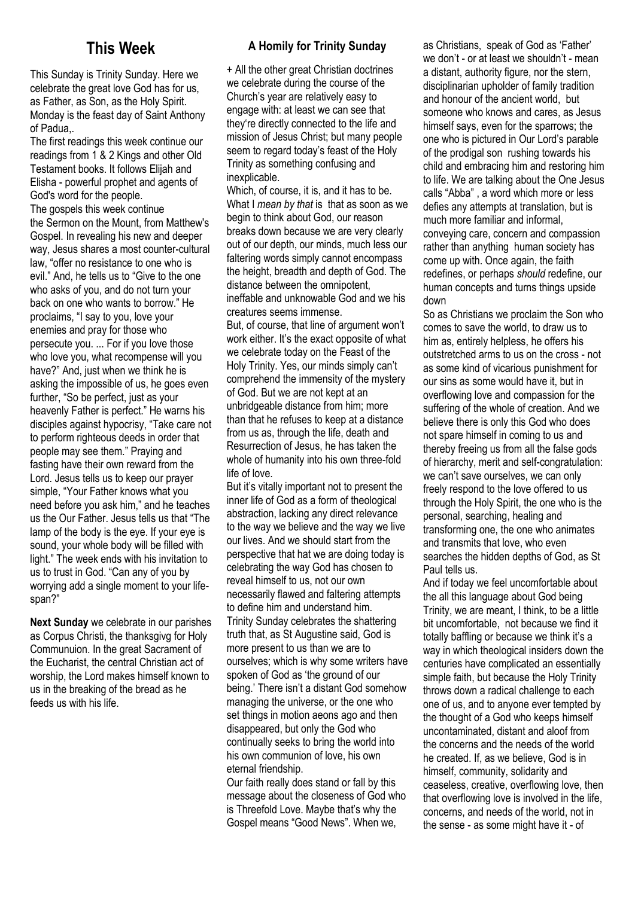## **This Week**

This Sunday is Trinity Sunday. Here we celebrate the great love God has for us, as Father, as Son, as the Holy Spirit. Monday is the feast day of Saint Anthony of Padua,.

The first readings this week continue our readings from 1 & 2 Kings and other Old Testament books. It follows Elijah and Elisha - powerful prophet and agents of God's word for the people. The gospels this week continue the Sermon on the Mount, from Matthew's Gospel. In revealing his new and deeper way, Jesus shares a most counter-cultural law, "offer no resistance to one who is evil." And, he tells us to "Give to the one who asks of you, and do not turn your back on one who wants to borrow." He proclaims, "I say to you, love your enemies and pray for those who persecute you. ... For if you love those who love you, what recompense will you have?" And, just when we think he is asking the impossible of us, he goes even further, "So be perfect, just as your heavenly Father is perfect." He warns his disciples against hypocrisy, "Take care not to perform righteous deeds in order that people may see them." Praying and fasting have their own reward from the Lord. Jesus tells us to keep our prayer simple, "Your Father knows what you need before you ask him," and he teaches us the Our Father. Jesus tells us that "The lamp of the body is the eye. If your eye is sound, your whole body will be filled with light." The week ends with his invitation to us to trust in God. "Can any of you by worrying add a single moment to your lifespan?"

**Next Sunday** we celebrate in our parishes as Corpus Christi, the thanksgivg for Holy Communuion. In the great Sacrament of the Eucharist, the central Christian act of worship, the Lord makes himself known to us in the breaking of the bread as he feeds us with his life.

## **A Homily for Trinity Sunday**

+ All the other great Christian doctrines we celebrate during the course of the Church's year are relatively easy to engage with: at least we can see that they're directly connected to the life and mission of Jesus Christ; but many people seem to regard today's feast of the Holy Trinity as something confusing and inexplicable.

Which, of course, it is, and it has to be. What I *mean by that* is that as soon as we begin to think about God, our reason breaks down because we are very clearly out of our depth, our minds, much less our faltering words simply cannot encompass the height, breadth and depth of God. The distance between the omnipotent, ineffable and unknowable God and we his creatures seems immense.

But, of course, that line of argument won't work either. It's the exact opposite of what we celebrate today on the Feast of the Holy Trinity. Yes, our minds simply can't comprehend the immensity of the mystery of God. But we are not kept at an unbridgeable distance from him; more than that he refuses to keep at a distance from us as, through the life, death and Resurrection of Jesus, he has taken the whole of humanity into his own three-fold life of love.

But it's vitally important not to present the inner life of God as a form of theological abstraction, lacking any direct relevance to the way we believe and the way we live our lives. And we should start from the perspective that hat we are doing today is celebrating the way God has chosen to reveal himself to us, not our own necessarily flawed and faltering attempts to define him and understand him. Trinity Sunday celebrates the shattering truth that, as St Augustine said, God is more present to us than we are to ourselves; which is why some writers have spoken of God as 'the ground of our being.' There isn't a distant God somehow managing the universe, or the one who set things in motion aeons ago and then disappeared, but only the God who continually seeks to bring the world into his own communion of love, his own eternal friendship.

Our faith really does stand or fall by this message about the closeness of God who is Threefold Love. Maybe that's why the Gospel means "Good News". When we,

as Christians, speak of God as 'Father' we don't - or at least we shouldn't - mean a distant, authority figure, nor the stern, disciplinarian upholder of family tradition and honour of the ancient world, but someone who knows and cares, as Jesus himself says, even for the sparrows; the one who is pictured in Our Lord's parable of the prodigal son rushing towards his child and embracing him and restoring him to life. We are talking about the One Jesus calls "Abba" , a word which more or less defies any attempts at translation, but is much more familiar and informal, conveying care, concern and compassion rather than anything human society has come up with. Once again, the faith redefines, or perhaps *should* redefine, our human concepts and turns things upside down

So as Christians we proclaim the Son who comes to save the world, to draw us to him as, entirely helpless, he offers his outstretched arms to us on the cross - not as some kind of vicarious punishment for our sins as some would have it, but in overflowing love and compassion for the suffering of the whole of creation. And we believe there is only this God who does not spare himself in coming to us and thereby freeing us from all the false gods of hierarchy, merit and self-congratulation: we can't save ourselves, we can only freely respond to the love offered to us through the Holy Spirit, the one who is the personal, searching, healing and transforming one, the one who animates and transmits that love, who even searches the hidden depths of God, as St Paul tells us.

And if today we feel uncomfortable about the all this language about God being Trinity, we are meant, I think, to be a little bit uncomfortable, not because we find it totally baffling or because we think it's a way in which theological insiders down the centuries have complicated an essentially simple faith, but because the Holy Trinity throws down a radical challenge to each one of us, and to anyone ever tempted by the thought of a God who keeps himself uncontaminated, distant and aloof from the concerns and the needs of the world he created. If, as we believe, God is in himself, community, solidarity and ceaseless, creative, overflowing love, then that overflowing love is involved in the life, concerns, and needs of the world, not in the sense - as some might have it - of